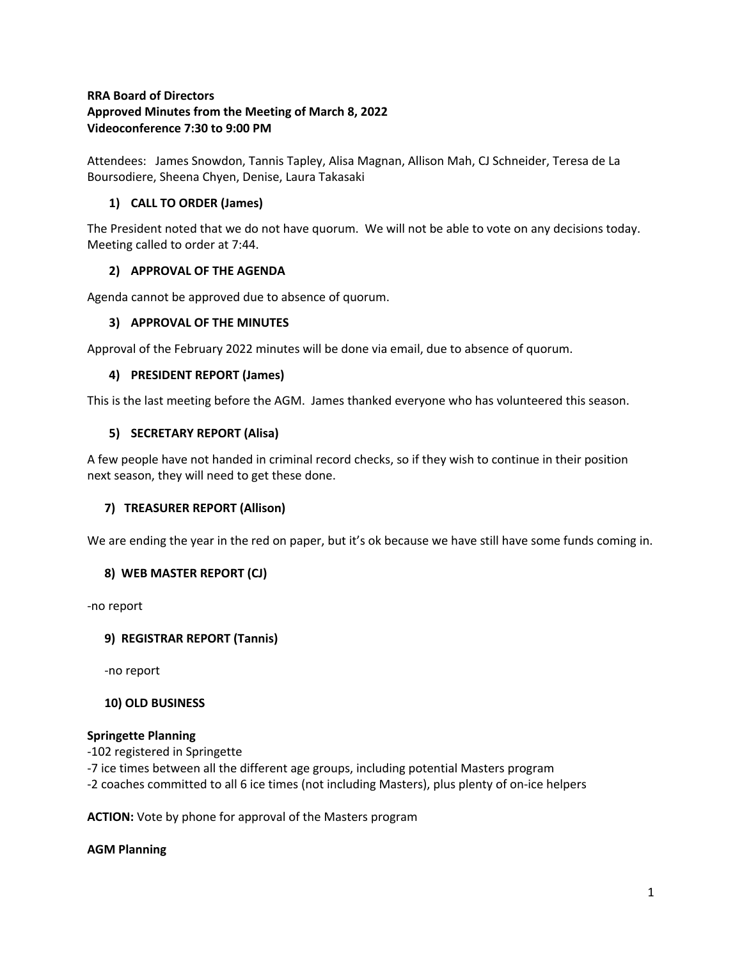## **RRA Board of Directors Approved Minutes from the Meeting of March 8, 2022 Videoconference 7:30 to 9:00 PM**

Attendees: James Snowdon, Tannis Tapley, Alisa Magnan, Allison Mah, CJ Schneider, Teresa de La Boursodiere, Sheena Chyen, Denise, Laura Takasaki

# **1) CALL TO ORDER (James)**

The President noted that we do not have quorum. We will not be able to vote on any decisions today. Meeting called to order at 7:44.

## **2) APPROVAL OF THE AGENDA**

Agenda cannot be approved due to absence of quorum.

### **3) APPROVAL OF THE MINUTES**

Approval of the February 2022 minutes will be done via email, due to absence of quorum.

### **4) PRESIDENT REPORT (James)**

This is the last meeting before the AGM. James thanked everyone who has volunteered this season.

### **5) SECRETARY REPORT (Alisa)**

A few people have not handed in criminal record checks, so if they wish to continue in their position next season, they will need to get these done.

### **7) TREASURER REPORT (Allison)**

We are ending the year in the red on paper, but it's ok because we have still have some funds coming in.

# **8) WEB MASTER REPORT (CJ)**

-no report

### **9) REGISTRAR REPORT (Tannis)**

-no report

### **10) OLD BUSINESS**

### **Springette Planning**

-102 registered in Springette

-7 ice times between all the different age groups, including potential Masters program

-2 coaches committed to all 6 ice times (not including Masters), plus plenty of on-ice helpers

**ACTION:** Vote by phone for approval of the Masters program

#### **AGM Planning**